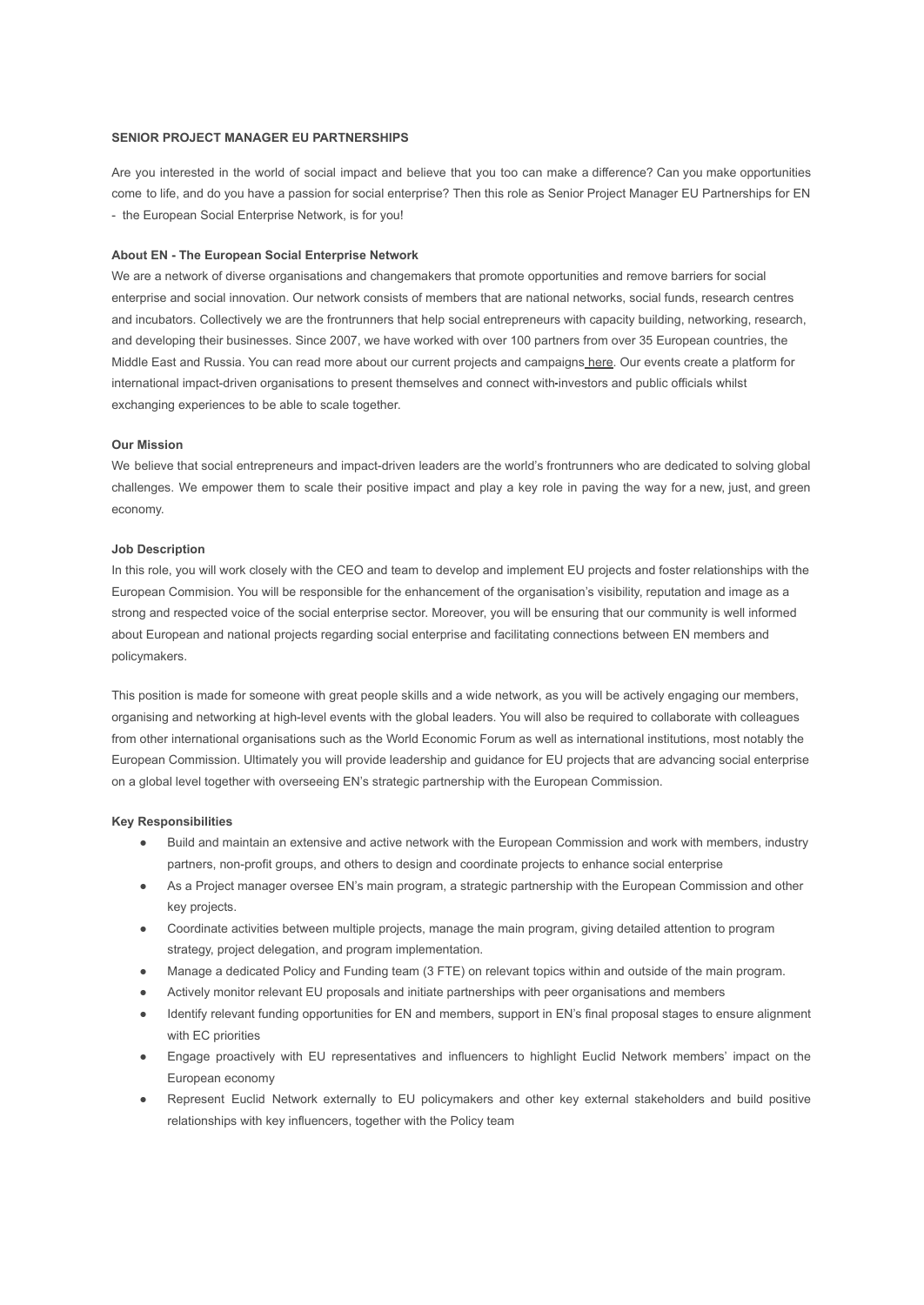### **SENIOR PROJECT MANAGER EU PARTNERSHIPS**

Are you interested in the world of social impact and believe that you too can make a difference? Can you make opportunities come to life, and do you have a passion for social enterprise? Then this role as Senior Project Manager EU Partnerships for EN - the European Social Enterprise Network, is for you!

#### **About EN - The European Social Enterprise Network**

We are a network of diverse organisations and changemakers that promote opportunities and remove barriers for social enterprise and social innovation. Our network consists of members that are national networks, social funds, research centres and incubators. Collectively we are the frontrunners that help social entrepreneurs with capacity building, networking, research, and developing their businesses. Since 2007, we have worked with over 100 partners from over 35 European countries, the Middle East and Russia. You can read more about our current projects and campaigns [here.](https://euclidnetwork.eu/our-actions/) Our events create a platform for international impact-driven organisations to present themselves and connect with-investors and public officials whilst exchanging experiences to be able to scale together.

#### **Our Mission**

We believe that social entrepreneurs and impact-driven leaders are the world's frontrunners who are dedicated to solving global challenges. We empower them to scale their positive impact and play a key role in paving the way for a new, just, and green economy.

## **Job Description**

In this role, you will work closely with the CEO and team to develop and implement EU projects and foster relationships with the European Commision. You will be responsible for the enhancement of the organisation's visibility, reputation and image as a strong and respected voice of the social enterprise sector. Moreover, you will be ensuring that our community is well informed about European and national projects regarding social enterprise and facilitating connections between EN members and policymakers.

This position is made for someone with great people skills and a wide network, as you will be actively engaging our members, organising and networking at high-level events with the global leaders. You will also be required to collaborate with colleagues from other international organisations such as the World Economic Forum as well as international institutions, most notably the European Commission. Ultimately you will provide leadership and guidance for EU projects that are advancing social enterprise on a global level together with overseeing EN's strategic partnership with the European Commission.

### **Key Responsibilities**

- Build and maintain an extensive and active network with the European Commission and work with members, industry partners, non-profit groups, and others to design and coordinate projects to enhance social enterprise
- As a Project manager oversee EN's main program, a strategic partnership with the European Commission and other key projects.
- Coordinate activities between multiple projects, manage the main program, giving detailed attention to program strategy, project delegation, and program implementation.
- Manage a dedicated Policy and Funding team (3 FTE) on relevant topics within and outside of the main program.
- Actively monitor relevant EU proposals and initiate partnerships with peer organisations and members
- Identify relevant funding opportunities for EN and members, support in EN's final proposal stages to ensure alignment with EC priorities
- Engage proactively with EU representatives and influencers to highlight Euclid Network members' impact on the European economy
- Represent Euclid Network externally to EU policymakers and other key external stakeholders and build positive relationships with key influencers, together with the Policy team